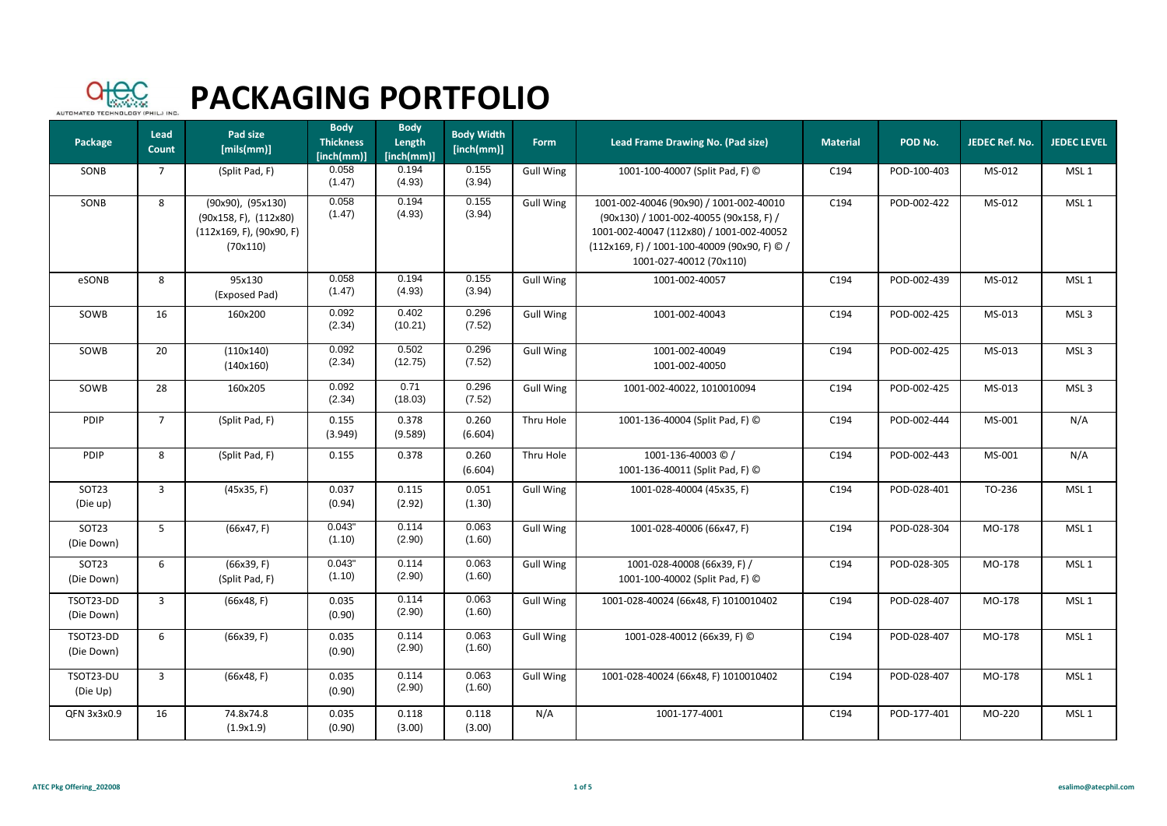

| Package                 | Lead<br>Count  | Pad size<br>[mils(mm)]                                                                       | <b>Body</b><br><b>Thickness</b><br>[inch(mm)] | <b>Body</b><br>Length<br>[inch(mm)] | <b>Body Width</b><br>[inch(mm)] | Form             | Lead Frame Drawing No. (Pad size)                                                                                                                                                                         | <b>Material</b> | POD No.     | JEDEC Ref. No. | <b>JEDEC LEVEL</b> |
|-------------------------|----------------|----------------------------------------------------------------------------------------------|-----------------------------------------------|-------------------------------------|---------------------------------|------------------|-----------------------------------------------------------------------------------------------------------------------------------------------------------------------------------------------------------|-----------------|-------------|----------------|--------------------|
| SONB                    | $\overline{7}$ | (Split Pad, F)                                                                               | 0.058<br>(1.47)                               | 0.194<br>(4.93)                     | 0.155<br>(3.94)                 | <b>Gull Wing</b> | 1001-100-40007 (Split Pad, F) C                                                                                                                                                                           | C194            | POD-100-403 | MS-012         | MSL <sub>1</sub>   |
| SONB                    | 8              | (90x90), (95x130)<br>$(90x158, F)$ , $(112x80)$<br>$(112x169, F)$ , $(90x90, F)$<br>(70x110) | 0.058<br>(1.47)                               | 0.194<br>(4.93)                     | 0.155<br>(3.94)                 | <b>Gull Wing</b> | 1001-002-40046 (90x90) / 1001-002-40010<br>(90x130) / 1001-002-40055 (90x158, F) /<br>1001-002-40047 (112x80) / 1001-002-40052<br>(112x169, F) / 1001-100-40009 (90x90, F) © /<br>1001-027-40012 (70x110) | C194            | POD-002-422 | MS-012         | MSL <sub>1</sub>   |
| eSONB                   | 8              | 95x130<br>(Exposed Pad)                                                                      | 0.058<br>(1.47)                               | 0.194<br>(4.93)                     | 0.155<br>(3.94)                 | <b>Gull Wing</b> | 1001-002-40057                                                                                                                                                                                            | C194            | POD-002-439 | MS-012         | MSL <sub>1</sub>   |
| SOWB                    | 16             | 160x200                                                                                      | 0.092<br>(2.34)                               | 0.402<br>(10.21)                    | 0.296<br>(7.52)                 | <b>Gull Wing</b> | 1001-002-40043                                                                                                                                                                                            | C194            | POD-002-425 | MS-013         | MSL <sub>3</sub>   |
| SOWB                    | 20             | (110x140)<br>(140x160)                                                                       | 0.092<br>(2.34)                               | 0.502<br>(12.75)                    | 0.296<br>(7.52)                 | <b>Gull Wing</b> | 1001-002-40049<br>1001-002-40050                                                                                                                                                                          | C194            | POD-002-425 | MS-013         | MSL <sub>3</sub>   |
| SOWB                    | 28             | 160x205                                                                                      | 0.092<br>(2.34)                               | 0.71<br>(18.03)                     | 0.296<br>(7.52)                 | <b>Gull Wing</b> | 1001-002-40022, 1010010094                                                                                                                                                                                | C194            | POD-002-425 | MS-013         | MSL <sub>3</sub>   |
| PDIP                    | $\overline{7}$ | (Split Pad, F)                                                                               | 0.155<br>(3.949)                              | 0.378<br>(9.589)                    | 0.260<br>(6.604)                | Thru Hole        | 1001-136-40004 (Split Pad, F) C                                                                                                                                                                           | C194            | POD-002-444 | MS-001         | N/A                |
| PDIP                    | 8              | (Split Pad, F)                                                                               | 0.155                                         | 0.378                               | 0.260<br>(6.604)                | Thru Hole        | 1001-136-40003 © /<br>1001-136-40011 (Split Pad, F) ©                                                                                                                                                     | C194            | POD-002-443 | MS-001         | N/A                |
| SOT23<br>(Die up)       | $\overline{3}$ | (45x35, F)                                                                                   | 0.037<br>(0.94)                               | 0.115<br>(2.92)                     | 0.051<br>(1.30)                 | <b>Gull Wing</b> | 1001-028-40004 (45x35, F)                                                                                                                                                                                 | C194            | POD-028-401 | TO-236         | MSL <sub>1</sub>   |
| SOT23<br>(Die Down)     | 5              | (66x47, F)                                                                                   | 0.043"<br>(1.10)                              | 0.114<br>(2.90)                     | 0.063<br>(1.60)                 | <b>Gull Wing</b> | 1001-028-40006 (66x47, F)                                                                                                                                                                                 | C194            | POD-028-304 | MO-178         | MSL <sub>1</sub>   |
| SOT23<br>(Die Down)     | 6              | (66x39, F)<br>(Split Pad, F)                                                                 | 0.043"<br>(1.10)                              | 0.114<br>(2.90)                     | 0.063<br>(1.60)                 | <b>Gull Wing</b> | 1001-028-40008 (66x39, F) /<br>1001-100-40002 (Split Pad, F) ©                                                                                                                                            | C194            | POD-028-305 | MO-178         | MSL <sub>1</sub>   |
| TSOT23-DD<br>(Die Down) | $\overline{3}$ | (66x48, F)                                                                                   | 0.035<br>(0.90)                               | 0.114<br>(2.90)                     | 0.063<br>(1.60)                 | <b>Gull Wing</b> | 1001-028-40024 (66x48, F) 1010010402                                                                                                                                                                      | C194            | POD-028-407 | MO-178         | MSL <sub>1</sub>   |
| TSOT23-DD<br>(Die Down) | 6              | (66x39, F)                                                                                   | 0.035<br>(0.90)                               | 0.114<br>(2.90)                     | 0.063<br>(1.60)                 | <b>Gull Wing</b> | 1001-028-40012 (66x39, F) ©                                                                                                                                                                               | C194            | POD-028-407 | MO-178         | MSL <sub>1</sub>   |
| TSOT23-DU<br>(Die Up)   | 3              | (66x48, F)                                                                                   | 0.035<br>(0.90)                               | 0.114<br>(2.90)                     | 0.063<br>(1.60)                 | <b>Gull Wing</b> | 1001-028-40024 (66x48, F) 1010010402                                                                                                                                                                      | C194            | POD-028-407 | MO-178         | MSL <sub>1</sub>   |
| QFN 3x3x0.9             | 16             | 74.8x74.8<br>(1.9x1.9)                                                                       | 0.035<br>(0.90)                               | 0.118<br>(3.00)                     | 0.118<br>(3.00)                 | N/A              | 1001-177-4001                                                                                                                                                                                             | C194            | POD-177-401 | MO-220         | MSL <sub>1</sub>   |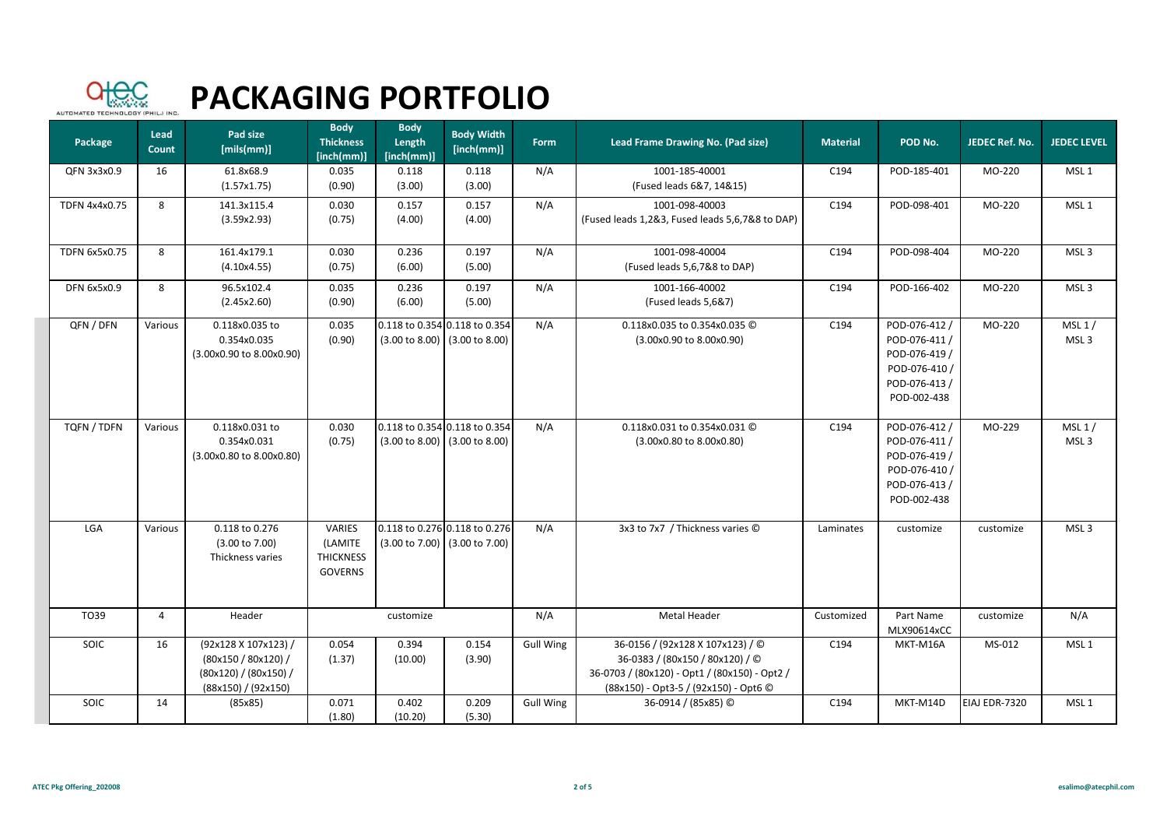

| Package            | Lead<br><b>Count</b> | Pad size<br>[mils(mm)]                                                                      | <b>Body</b><br><b>Thickness</b><br>[inch(mm)]           | <b>Body</b><br>Length<br>[inch(mm)] | <b>Body Width</b><br>[inch(mm)]                                                      | Form             | Lead Frame Drawing No. (Pad size)                                                                                                                             | <b>Material</b> | POD No.                                                                                          | JEDEC Ref. No. | <b>JEDEC LEVEL</b>         |
|--------------------|----------------------|---------------------------------------------------------------------------------------------|---------------------------------------------------------|-------------------------------------|--------------------------------------------------------------------------------------|------------------|---------------------------------------------------------------------------------------------------------------------------------------------------------------|-----------------|--------------------------------------------------------------------------------------------------|----------------|----------------------------|
| QFN 3x3x0.9        | 16                   | 61.8x68.9<br>(1.57x1.75)                                                                    | 0.035<br>(0.90)                                         | 0.118<br>(3.00)                     | 0.118<br>(3.00)                                                                      | N/A              | 1001-185-40001<br>(Fused leads 6&7, 14&15)                                                                                                                    | C194            | POD-185-401                                                                                      | MO-220         | MSL <sub>1</sub>           |
| TDFN 4x4x0.75      | 8                    | 141.3x115.4<br>(3.59x2.93)                                                                  | 0.030<br>(0.75)                                         | 0.157<br>(4.00)                     | 0.157<br>(4.00)                                                                      | N/A              | 1001-098-40003<br>(Fused leads 1,2&3, Fused leads 5,6,7&8 to DAP)                                                                                             | C194            | POD-098-401                                                                                      | MO-220         | MSL <sub>1</sub>           |
| TDFN 6x5x0.75      | 8                    | 161.4x179.1<br>(4.10x4.55)                                                                  | 0.030<br>(0.75)                                         | 0.236<br>(6.00)                     | 0.197<br>(5.00)                                                                      | N/A              | 1001-098-40004<br>(Fused leads 5,6,7&8 to DAP)                                                                                                                | C194            | POD-098-404                                                                                      | MO-220         | MSL <sub>3</sub>           |
| <b>DFN 6x5x0.9</b> | 8                    | 96.5x102.4<br>(2.45x2.60)                                                                   | 0.035<br>(0.90)                                         | 0.236<br>(6.00)                     | 0.197<br>(5.00)                                                                      | N/A              | 1001-166-40002<br>(Fused leads 5,6&7)                                                                                                                         | C194            | POD-166-402                                                                                      | MO-220         | MSL <sub>3</sub>           |
| QFN / DFN          | Various              | 0.118x0.035 to<br>0.354x0.035<br>(3.00x0.90 to 8.00x0.90)                                   | 0.035<br>(0.90)                                         |                                     | 0.118 to 0.354 0.118 to 0.354<br>$(3.00 \text{ to } 8.00)$ $(3.00 \text{ to } 8.00)$ | N/A              | 0.118x0.035 to 0.354x0.035 ©<br>(3.00x0.90 to 8.00x0.90)                                                                                                      | C194            | POD-076-412 /<br>POD-076-411 /<br>POD-076-419 /<br>POD-076-410 /<br>POD-076-413 /<br>POD-002-438 | MO-220         | MSL 1/<br>MSL <sub>3</sub> |
| TQFN / TDFN        | Various              | 0.118x0.031 to<br>0.354x0.031<br>(3.00x0.80 to 8.00x0.80)                                   | 0.030<br>(0.75)                                         |                                     | 0.118 to 0.354 0.118 to 0.354<br>$(3.00 \text{ to } 8.00)$ $(3.00 \text{ to } 8.00)$ | N/A              | 0.118x0.031 to 0.354x0.031 ©<br>(3.00x0.80 to 8.00x0.80)                                                                                                      | C194            | POD-076-412/<br>POD-076-411 /<br>POD-076-419 /<br>POD-076-410 /<br>POD-076-413 /<br>POD-002-438  | MO-229         | MSL1/<br>MSL <sub>3</sub>  |
| LGA                | Various              | 0.118 to 0.276<br>$(3.00 \text{ to } 7.00)$<br>Thickness varies                             | VARIES<br>(LAMITE<br><b>THICKNESS</b><br><b>GOVERNS</b> | $(3.00 \text{ to } 7.00)$           | 0.118 to 0.276 0.118 to 0.276<br>$(3.00 \text{ to } 7.00)$                           | N/A              | 3x3 to 7x7 / Thickness varies ©                                                                                                                               | Laminates       | customize                                                                                        | customize      | MSL <sub>3</sub>           |
| TO39               | 4                    | Header                                                                                      |                                                         | customize                           |                                                                                      | N/A              | Metal Header                                                                                                                                                  | Customized      | Part Name<br>MLX90614xCC                                                                         | customize      | N/A                        |
| SOIC               | 16                   | (92x128 X 107x123) /<br>(80x150 / 80x120) /<br>(80x120) / (80x150) /<br>(88x150) / (92x150) | 0.054<br>(1.37)                                         | 0.394<br>(10.00)                    | 0.154<br>(3.90)                                                                      | <b>Gull Wing</b> | 36-0156 / (92x128 X 107x123) / ©<br>36-0383 / (80x150 / 80x120) / ©<br>36-0703 / (80x120) - Opt1 / (80x150) - Opt2 /<br>(88x150) - Opt3-5 / (92x150) - Opt6 © | C194            | MKT-M16A                                                                                         | MS-012         | MSL <sub>1</sub>           |
| SOIC               | 14                   | (85x85)                                                                                     | 0.071<br>(1.80)                                         | 0.402<br>(10.20)                    | 0.209<br>(5.30)                                                                      | <b>Gull Wing</b> | 36-0914 / (85x85) ©                                                                                                                                           | C194            | MKT-M14D                                                                                         | EIAJ EDR-7320  | MSL <sub>1</sub>           |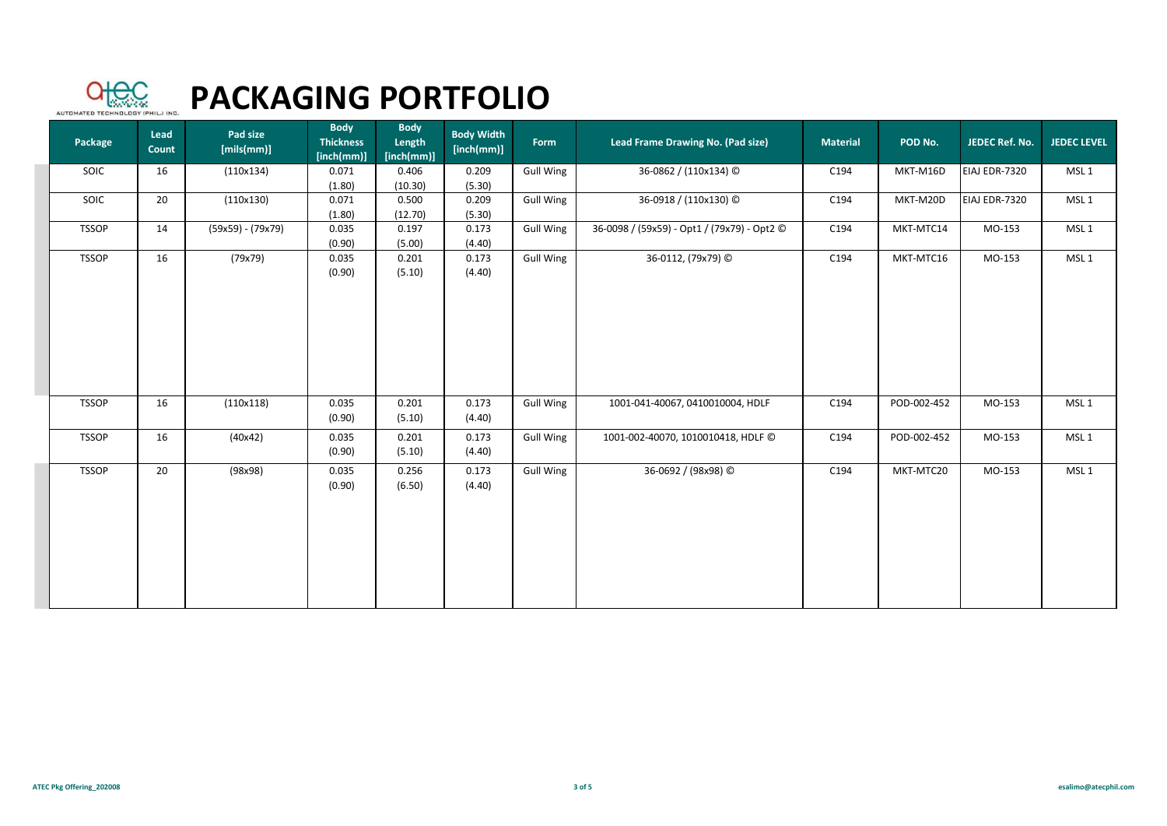

| Package      | Lead<br>Count | Pad size<br>[mils(mm)] | <b>Body</b><br><b>Thickness</b><br>[inch(mm)] | <b>Body</b><br>Length<br>[inch(mm)] | <b>Body Width</b><br>[inch(mm)] | Form             | Lead Frame Drawing No. (Pad size)           | <b>Material</b> | POD No.     | JEDEC Ref. No. | <b>JEDEC LEVEL</b> |
|--------------|---------------|------------------------|-----------------------------------------------|-------------------------------------|---------------------------------|------------------|---------------------------------------------|-----------------|-------------|----------------|--------------------|
| SOIC         | 16            | (110x134)              | 0.071<br>(1.80)                               | 0.406<br>(10.30)                    | 0.209<br>(5.30)                 | <b>Gull Wing</b> | 36-0862 / (110x134) ©                       | C194            | MKT-M16D    | EIAJ EDR-7320  | MSL <sub>1</sub>   |
| SOIC         | 20            | (110x130)              | 0.071<br>(1.80)                               | 0.500<br>(12.70)                    | 0.209<br>(5.30)                 | <b>Gull Wing</b> | 36-0918 / (110x130) ©                       | C194            | MKT-M20D    | EIAJ EDR-7320  | MSL <sub>1</sub>   |
| <b>TSSOP</b> | 14            | (59x59) - (79x79)      | 0.035<br>(0.90)                               | 0.197<br>(5.00)                     | 0.173<br>(4.40)                 | <b>Gull Wing</b> | 36-0098 / (59x59) - Opt1 / (79x79) - Opt2 © | C194            | MKT-MTC14   | MO-153         | MSL <sub>1</sub>   |
| <b>TSSOP</b> | 16            | (79x79)                | 0.035<br>(0.90)                               | 0.201<br>(5.10)                     | 0.173<br>(4.40)                 | <b>Gull Wing</b> | 36-0112, (79x79) ©                          | C194            | MKT-MTC16   | MO-153         | MSL <sub>1</sub>   |
| <b>TSSOP</b> | 16            | (110x118)              | 0.035<br>(0.90)                               | 0.201<br>(5.10)                     | 0.173<br>(4.40)                 | <b>Gull Wing</b> | 1001-041-40067, 0410010004, HDLF            | C194            | POD-002-452 | MO-153         | MSL <sub>1</sub>   |
| <b>TSSOP</b> | 16            | (40x42)                | 0.035<br>(0.90)                               | 0.201<br>(5.10)                     | 0.173<br>(4.40)                 | <b>Gull Wing</b> | 1001-002-40070, 1010010418, HDLF C          | C194            | POD-002-452 | MO-153         | MSL <sub>1</sub>   |
| <b>TSSOP</b> | 20            | (98x98)                | 0.035<br>(0.90)                               | 0.256<br>(6.50)                     | 0.173<br>(4.40)                 | <b>Gull Wing</b> | 36-0692 / (98x98) ©                         | C194            | MKT-MTC20   | MO-153         | MSL <sub>1</sub>   |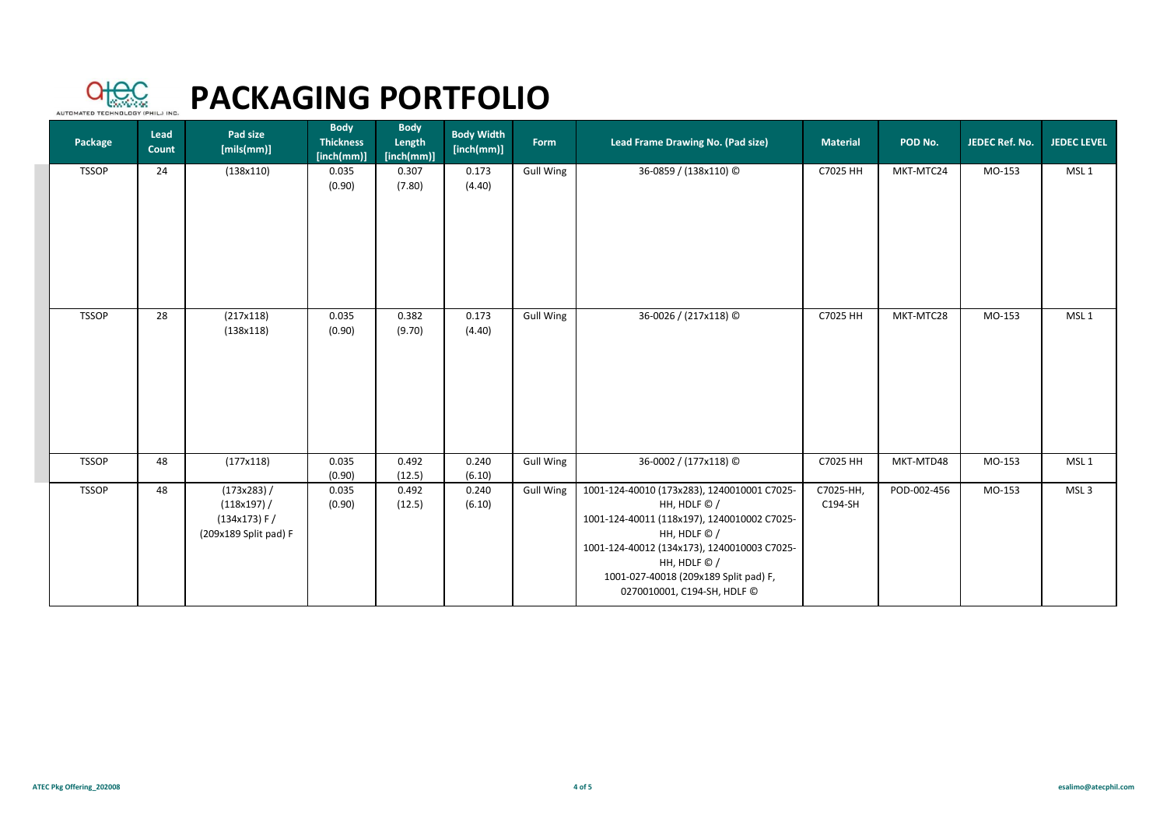

| Package      | Lead<br>Count | Pad size<br>[mils(mm)]                                              | <b>Body</b><br><b>Thickness</b><br>[inch(mm)] | <b>Body</b><br>Length<br>[inch(mm)] | <b>Body Width</b><br>[inch(mm)] | Form             | Lead Frame Drawing No. (Pad size)                                                                                                                                                                                                                                 | <b>Material</b>      | POD No.     | JEDEC Ref. No. | <b>JEDEC LEVEL</b> |
|--------------|---------------|---------------------------------------------------------------------|-----------------------------------------------|-------------------------------------|---------------------------------|------------------|-------------------------------------------------------------------------------------------------------------------------------------------------------------------------------------------------------------------------------------------------------------------|----------------------|-------------|----------------|--------------------|
| <b>TSSOP</b> | 24            | (138x110)                                                           | 0.035<br>(0.90)                               | 0.307<br>(7.80)                     | 0.173<br>(4.40)                 | Gull Wing        | 36-0859 / (138x110) ©                                                                                                                                                                                                                                             | C7025 HH             | MKT-MTC24   | MO-153         | MSL <sub>1</sub>   |
| <b>TSSOP</b> | 28            | (217x118)<br>(138x118)                                              | 0.035<br>(0.90)                               | 0.382<br>(9.70)                     | 0.173<br>(4.40)                 | <b>Gull Wing</b> | 36-0026 / (217x118) ©                                                                                                                                                                                                                                             | C7025 HH             | MKT-MTC28   | MO-153         | MSL <sub>1</sub>   |
| <b>TSSOP</b> | 48            | (177x118)                                                           | 0.035<br>(0.90)                               | 0.492<br>(12.5)                     | 0.240<br>(6.10)                 | <b>Gull Wing</b> | 36-0002 / (177x118) ©                                                                                                                                                                                                                                             | C7025 HH             | MKT-MTD48   | MO-153         | MSL <sub>1</sub>   |
| <b>TSSOP</b> | 48            | (173x283) /<br>(118x197) /<br>(134x173) F/<br>(209x189 Split pad) F | 0.035<br>(0.90)                               | 0.492<br>(12.5)                     | 0.240<br>(6.10)                 | <b>Gull Wing</b> | 1001-124-40010 (173x283), 1240010001 C7025-<br>HH, HDLF © /<br>1001-124-40011 (118x197), 1240010002 C7025-<br>HH, HDLF © /<br>1001-124-40012 (134x173), 1240010003 C7025-<br>HH, HDLF © /<br>1001-027-40018 (209x189 Split pad) F,<br>0270010001, C194-SH, HDLF C | C7025-HH,<br>C194-SH | POD-002-456 | MO-153         | MSL <sub>3</sub>   |